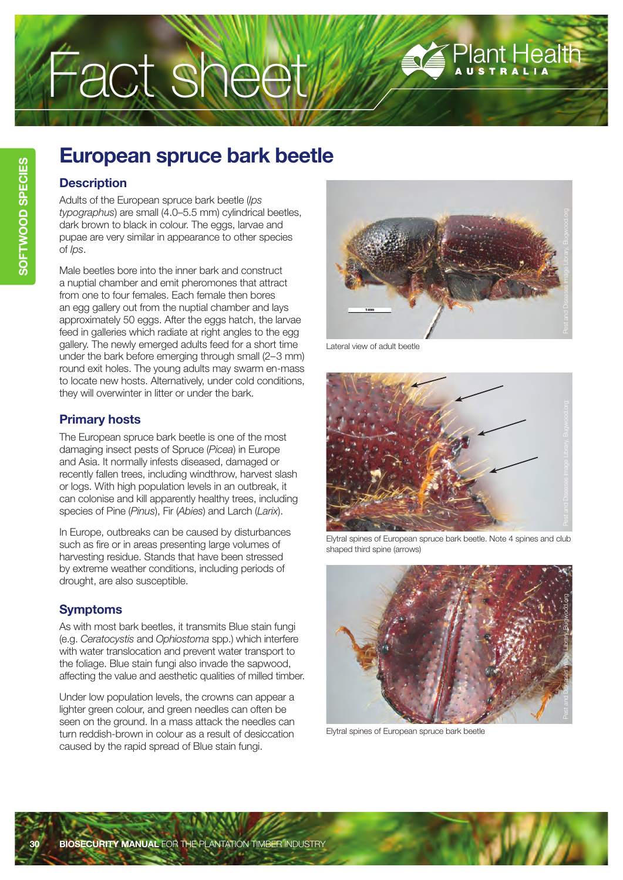# Fact sheet

## Plant Health

### **European spruce bark beetle**

#### **Description**

Adults of the European spruce bark beetle (*Ips typographus*) are small (4.0–5.5 mm) cylindrical beetles, dark brown to black in colour. The eggs, larvae and pupae are very similar in appearance to other species of *Ips*.

Male beetles bore into the inner bark and construct a nuptial chamber and emit pheromones that attract from one to four females. Each female then bores an egg gallery out from the nuptial chamber and lays approximately 50 eggs. After the eggs hatch, the larvae feed in galleries which radiate at right angles to the egg gallery. The newly emerged adults feed for a short time under the bark before emerging through small (2–3 mm) round exit holes. The young adults may swarm en-mass to locate new hosts. Alternatively, under cold conditions, they will overwinter in litter or under the bark.

#### **Primary hosts**

The European spruce bark beetle is one of the most damaging insect pests of Spruce (*Picea*) in Europe and Asia. It normally infests diseased, damaged or recently fallen trees, including windthrow, harvest slash or logs. With high population levels in an outbreak, it can colonise and kill apparently healthy trees, including species of Pine (*Pinus*), Fir (*Abies*) and Larch (*Larix*).

In Europe, outbreaks can be caused by disturbances such as fire or in areas presenting large volumes of harvesting residue. Stands that have been stressed by extreme weather conditions, including periods of drought, are also susceptible.

#### **Symptoms**

As with most bark beetles, it transmits Blue stain fungi (e.g. *Ceratocystis* and *Ophiostoma* spp.) which interfere with water translocation and prevent water transport to the foliage. Blue stain fungi also invade the sapwood, affecting the value and aesthetic qualities of milled timber.

Under low population levels, the crowns can appear a lighter green colour, and green needles can often be seen on the ground. In a mass attack the needles can turn reddish-brown in colour as a result of desiccation caused by the rapid spread of Blue stain fungi.



Lateral view of adult beetle



Elytral spines of European spruce bark beetle. Note 4 spines and club shaped third spine (arrows)



Elytral spines of European spruce bark beetle